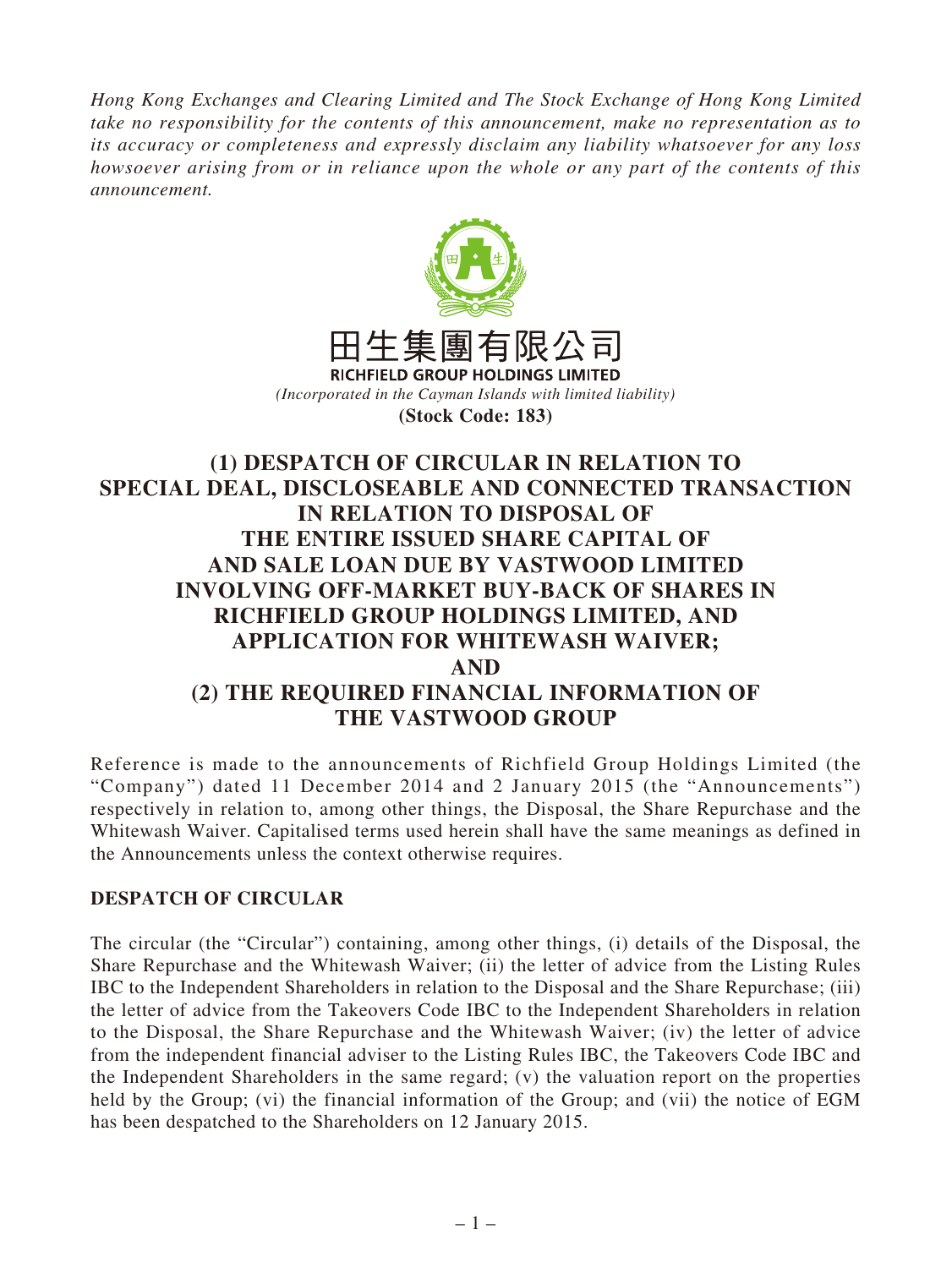*Hong Kong Exchanges and Clearing Limited and The Stock Exchange of Hong Kong Limited take no responsibility for the contents of this announcement, make no representation as to its accuracy or completeness and expressly disclaim any liability whatsoever for any loss howsoever arising from or in reliance upon the whole or any part of the contents of this announcement.*



**(Stock Code: 183)**

# **(1) DESPATCH OF CIRCULAR IN RELATION TO SPECIAL DEAL, DISCLOSEABLE AND CONNECTED TRANSACTION IN RELATION TO DISPOSAL OF THE ENTIRE ISSUED SHARE CAPITAL OF AND SALE LOAN DUE BY VASTWOOD LIMITED INVOLVING OFF-MARKET BUY-BACK OF SHARES IN RICHFIELD GROUP HOLDINGS LIMITED, AND APPLICATION FOR WHITEWASH WAIVER; AND (2) THE REQUIRED FINANCIAL INFORMATION OF THE VASTWOOD GROUP**

Reference is made to the announcements of Richfield Group Holdings Limited (the "Company") dated 11 December 2014 and 2 January 2015 (the "Announcements") respectively in relation to, among other things, the Disposal, the Share Repurchase and the Whitewash Waiver. Capitalised terms used herein shall have the same meanings as defined in the Announcements unless the context otherwise requires.

## **DESPATCH OF CIRCULAR**

The circular (the "Circular") containing, among other things, (i) details of the Disposal, the Share Repurchase and the Whitewash Waiver; (ii) the letter of advice from the Listing Rules IBC to the Independent Shareholders in relation to the Disposal and the Share Repurchase; (iii) the letter of advice from the Takeovers Code IBC to the Independent Shareholders in relation to the Disposal, the Share Repurchase and the Whitewash Waiver; (iv) the letter of advice from the independent financial adviser to the Listing Rules IBC, the Takeovers Code IBC and the Independent Shareholders in the same regard; (v) the valuation report on the properties held by the Group; (vi) the financial information of the Group; and (vii) the notice of EGM has been despatched to the Shareholders on 12 January 2015.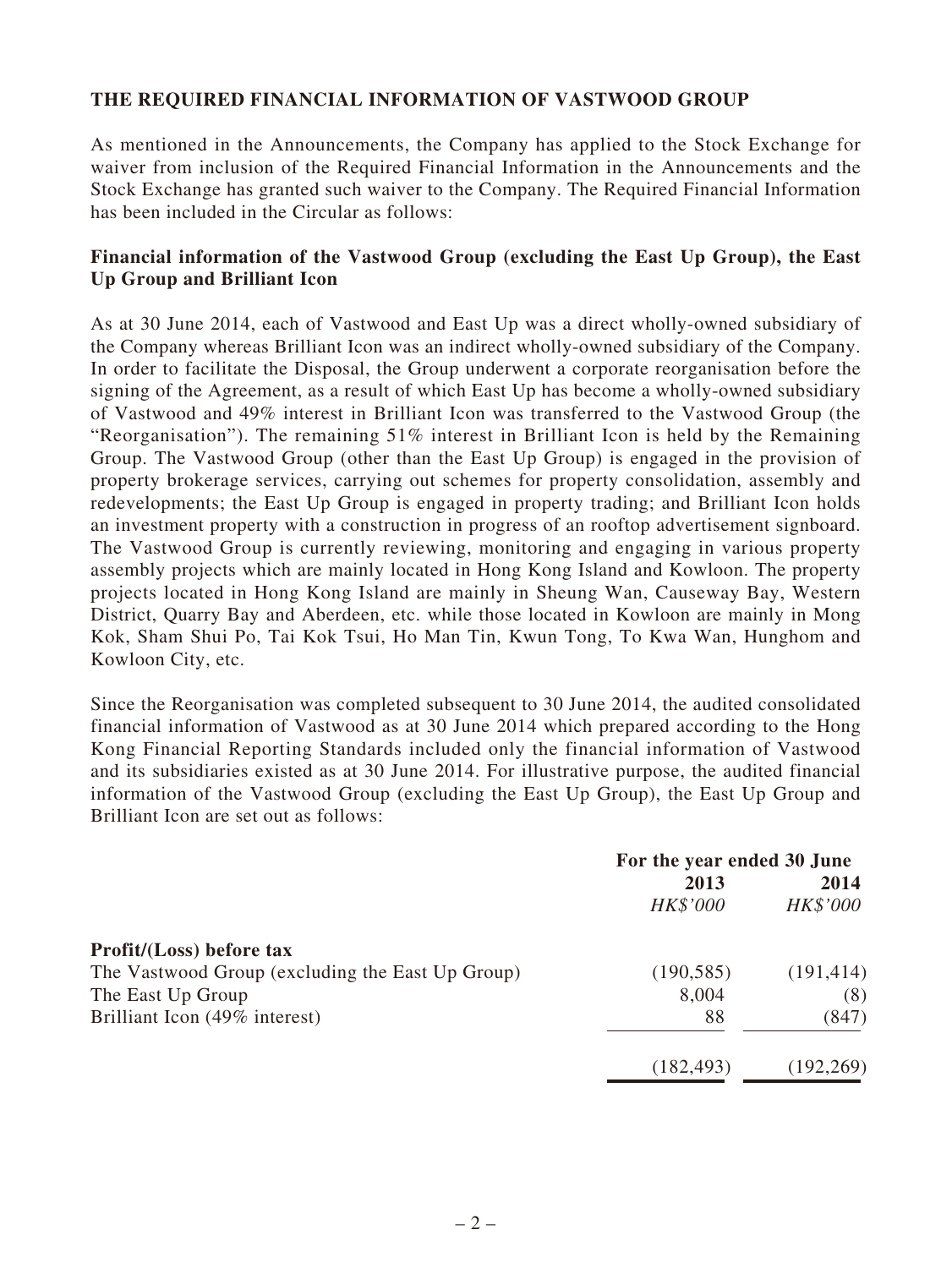### **THE REQUIRED FINANCIAL INFORMATION OF VASTWOOD GROUP**

As mentioned in the Announcements, the Company has applied to the Stock Exchange for waiver from inclusion of the Required Financial Information in the Announcements and the Stock Exchange has granted such waiver to the Company. The Required Financial Information has been included in the Circular as follows:

#### **Financial information of the Vastwood Group (excluding the East Up Group), the East Up Group and Brilliant Icon**

As at 30 June 2014, each of Vastwood and East Up was a direct wholly-owned subsidiary of the Company whereas Brilliant Icon was an indirect wholly-owned subsidiary of the Company. In order to facilitate the Disposal, the Group underwent a corporate reorganisation before the signing of the Agreement, as a result of which East Up has become a wholly-owned subsidiary of Vastwood and 49% interest in Brilliant Icon was transferred to the Vastwood Group (the "Reorganisation"). The remaining  $51\%$  interest in Brilliant Icon is held by the Remaining Group. The Vastwood Group (other than the East Up Group) is engaged in the provision of property brokerage services, carrying out schemes for property consolidation, assembly and redevelopments; the East Up Group is engaged in property trading; and Brilliant Icon holds an investment property with a construction in progress of an rooftop advertisement signboard. The Vastwood Group is currently reviewing, monitoring and engaging in various property assembly projects which are mainly located in Hong Kong Island and Kowloon. The property projects located in Hong Kong Island are mainly in Sheung Wan, Causeway Bay, Western District, Quarry Bay and Aberdeen, etc. while those located in Kowloon are mainly in Mong Kok, Sham Shui Po, Tai Kok Tsui, Ho Man Tin, Kwun Tong, To Kwa Wan, Hunghom and Kowloon City, etc.

Since the Reorganisation was completed subsequent to 30 June 2014, the audited consolidated financial information of Vastwood as at 30 June 2014 which prepared according to the Hong Kong Financial Reporting Standards included only the financial information of Vastwood and its subsidiaries existed as at 30 June 2014. For illustrative purpose, the audited financial information of the Vastwood Group (excluding the East Up Group), the East Up Group and Brilliant Icon are set out as follows:

|                                                  | For the year ended 30 June |            |
|--------------------------------------------------|----------------------------|------------|
|                                                  | 2013                       | 2014       |
|                                                  | HK\$'000                   | HK\$'000   |
| Profit/(Loss) before tax                         |                            |            |
| The Vastwood Group (excluding the East Up Group) | (190, 585)                 | (191, 414) |
| The East Up Group                                | 8,004                      | (8)        |
| Brilliant Icon (49% interest)                    | 88                         | (847)      |
|                                                  | (182, 493)                 | (192, 269) |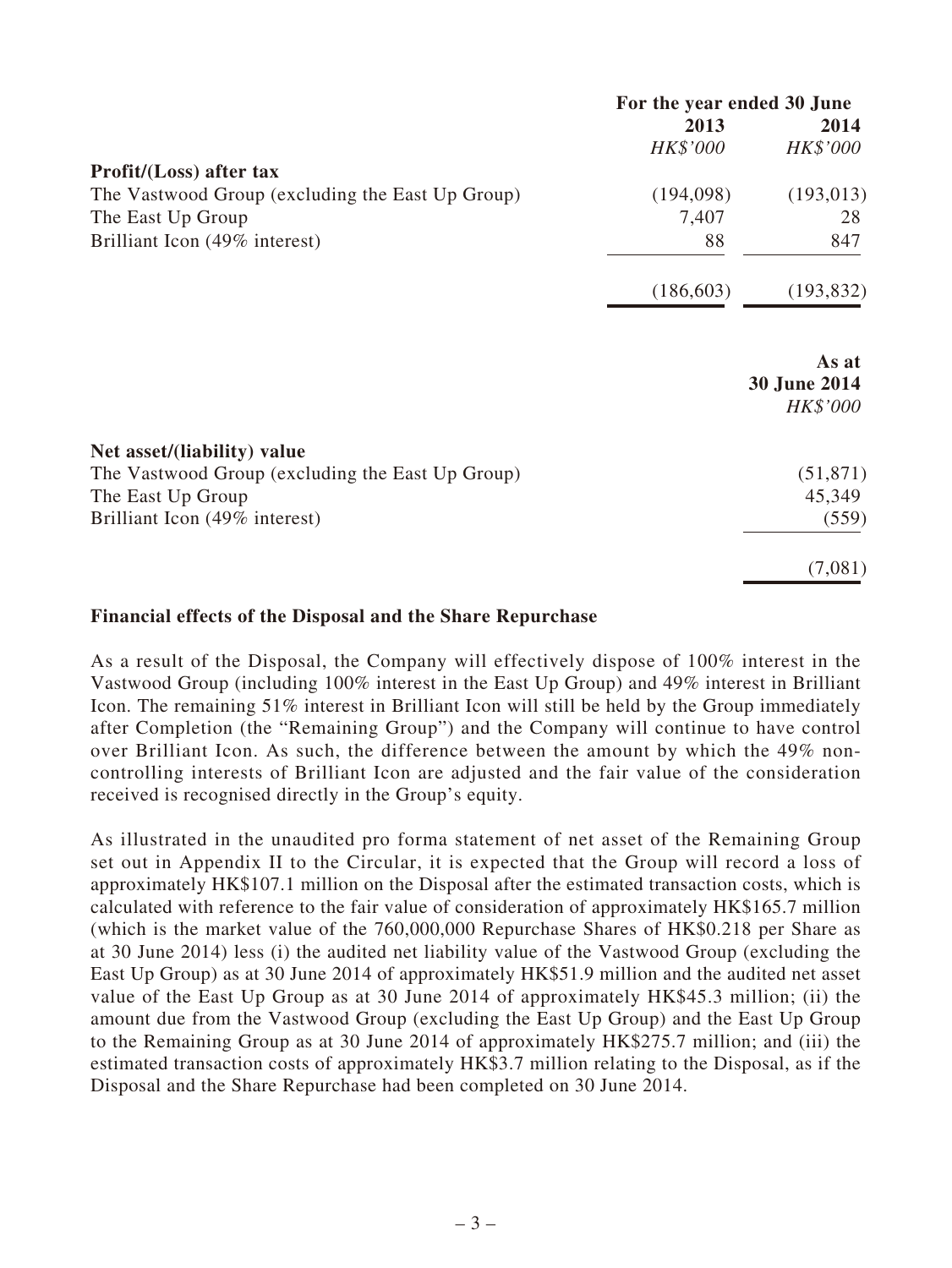|                                                  | For the year ended 30 June |                                   |
|--------------------------------------------------|----------------------------|-----------------------------------|
|                                                  | 2013                       | 2014                              |
|                                                  | HK\$'000                   | HK\$'000                          |
| Profit/(Loss) after tax                          |                            |                                   |
| The Vastwood Group (excluding the East Up Group) | (194,098)                  | (193, 013)                        |
| The East Up Group                                | 7,407                      | 28                                |
| Brilliant Icon (49% interest)                    | 88                         | 847                               |
|                                                  | (186, 603)                 | (193, 832)                        |
|                                                  |                            | As at<br>30 June 2014<br>HK\$'000 |
| Net asset/(liability) value                      |                            |                                   |
| The Vastwood Group (excluding the East Up Group) |                            | (51, 871)                         |
| The East Up Group                                |                            | 45,349                            |
| Brilliant Icon (49% interest)                    |                            | (559)                             |
|                                                  |                            | (7,081)                           |

#### **Financial effects of the Disposal and the Share Repurchase**

As a result of the Disposal, the Company will effectively dispose of 100% interest in the Vastwood Group (including 100% interest in the East Up Group) and 49% interest in Brilliant Icon. The remaining 51% interest in Brilliant Icon will still be held by the Group immediately after Completion (the "Remaining Group") and the Company will continue to have control over Brilliant Icon. As such, the difference between the amount by which the 49% noncontrolling interests of Brilliant Icon are adjusted and the fair value of the consideration received is recognised directly in the Group's equity.

As illustrated in the unaudited pro forma statement of net asset of the Remaining Group set out in Appendix II to the Circular, it is expected that the Group will record a loss of approximately HK\$107.1 million on the Disposal after the estimated transaction costs, which is calculated with reference to the fair value of consideration of approximately HK\$165.7 million (which is the market value of the 760,000,000 Repurchase Shares of HK\$0.218 per Share as at 30 June 2014) less (i) the audited net liability value of the Vastwood Group (excluding the East Up Group) as at 30 June 2014 of approximately HK\$51.9 million and the audited net asset value of the East Up Group as at 30 June 2014 of approximately HK\$45.3 million; (ii) the amount due from the Vastwood Group (excluding the East Up Group) and the East Up Group to the Remaining Group as at 30 June 2014 of approximately HK\$275.7 million; and (iii) the estimated transaction costs of approximately HK\$3.7 million relating to the Disposal, as if the Disposal and the Share Repurchase had been completed on 30 June 2014.